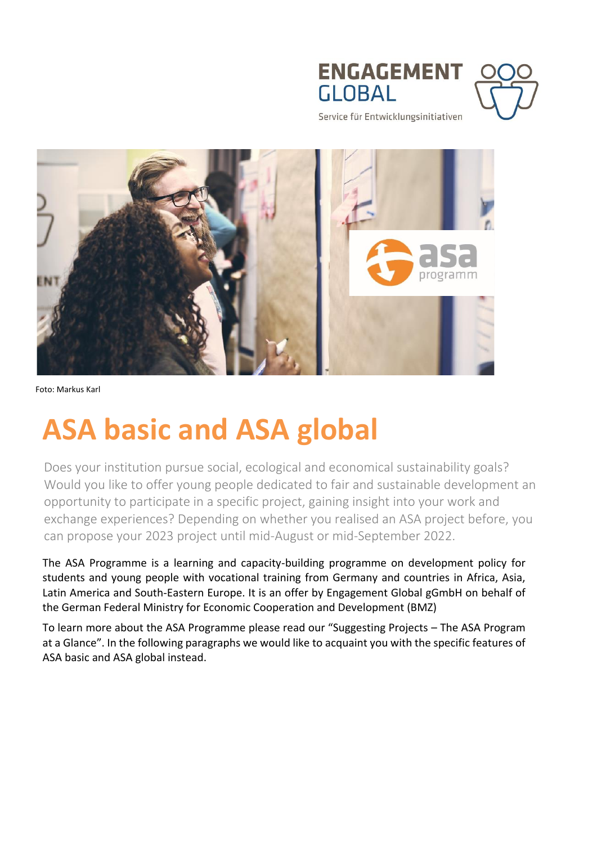



Service für Entwicklungsinitiativen



Foto: Markus Karl

# **ASA basic and ASA global**

Does your institution pursue social, ecological and economical sustainability goals? Would you like to offer young people dedicated to fair and sustainable development an opportunity to participate in a specific project, gaining insight into your work and exchange experiences? Depending on whether you realised an ASA project before, you can propose your 2023 project until mid-August or mid-September 2022.

The ASA Programme is a learning and capacity-building programme on development policy for students and young people with vocational training from Germany and countries in Africa, Asia, Latin America and South-Eastern Europe. It is an offer by Engagement Global gGmbH on behalf of the German Federal Ministry for Economic Cooperation and Development (BMZ)

To learn more about the ASA Programme please read our "Suggesting Projects – The ASA Program at a Glance". In the following paragraphs we would like to acquaint you with the specific features of ASA basic and ASA global instead.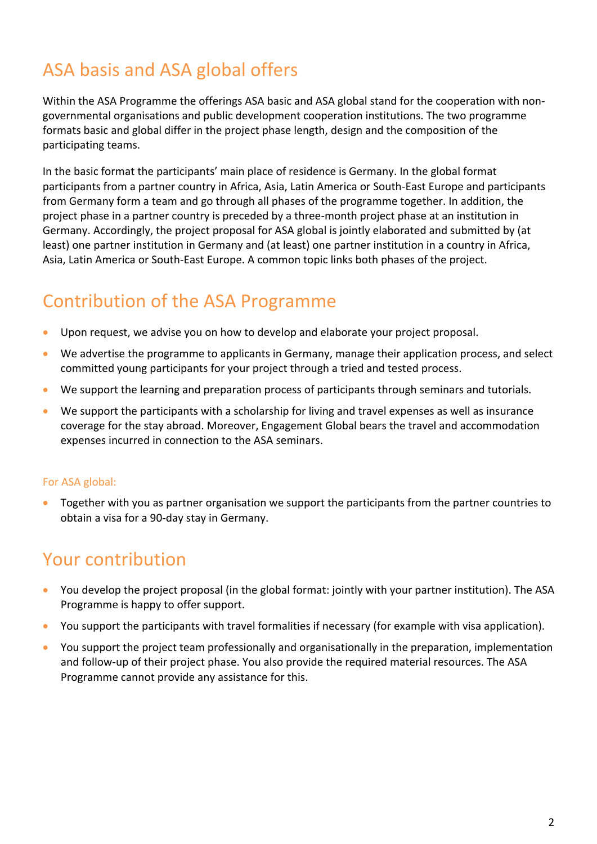# ASA basis and ASA global offers

Within the ASA Programme the offerings ASA basic and ASA global stand for the cooperation with nongovernmental organisations and public development cooperation institutions. The two programme formats basic and global differ in the project phase length, design and the composition of the participating teams.

In the basic format the participants' main place of residence is Germany. In the global format participants from a partner country in Africa, Asia, Latin America or South-East Europe and participants from Germany form a team and go through all phases of the programme together. In addition, the project phase in a partner country is preceded by a three-month project phase at an institution in Germany. Accordingly, the project proposal for ASA global is jointly elaborated and submitted by (at least) one partner institution in Germany and (at least) one partner institution in a country in Africa, Asia, Latin America or South-East Europe. A common topic links both phases of the project.

# Contribution of the ASA Programme

- Upon request, we advise you on how to develop and elaborate your project proposal.
- We advertise the programme to applicants in Germany, manage their application process, and select committed young participants for your project through a tried and tested process.
- We support the learning and preparation process of participants through seminars and tutorials.
- We support the participants with a scholarship for living and travel expenses as well as insurance coverage for the stay abroad. Moreover, Engagement Global bears the travel and accommodation expenses incurred in connection to the ASA seminars.

### For ASA global:

 Together with you as partner organisation we support the participants from the partner countries to obtain a visa for a 90-day stay in Germany.

### Your contribution

- You develop the project proposal (in the global format: jointly with your partner institution). The ASA Programme is happy to offer support.
- You support the participants with travel formalities if necessary (for example with visa application).
- You support the project team professionally and organisationally in the preparation, implementation and follow-up of their project phase. You also provide the required material resources. The ASA Programme cannot provide any assistance for this.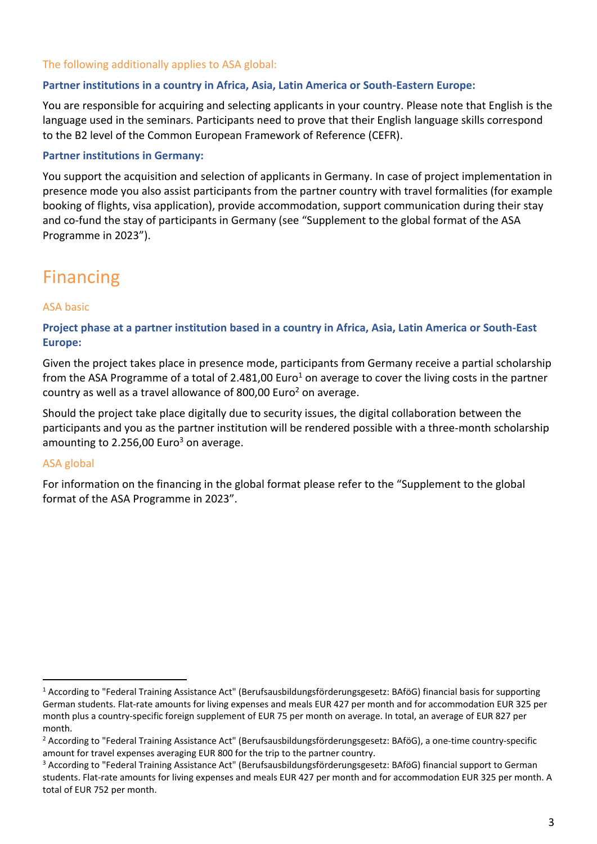### The following additionally applies to ASA global:

#### **Partner institutions in a country in Africa, Asia, Latin America or South-Eastern Europe:**

You are responsible for acquiring and selecting applicants in your country. Please note that English is the language used in the seminars. Participants need to prove that their English language skills correspond to the B2 level of the Common European Framework of Reference (CEFR).

#### **Partner institutions in Germany:**

You support the acquisition and selection of applicants in Germany. In case of project implementation in presence mode you also assist participants from the partner country with travel formalities (for example booking of flights, visa application), provide accommodation, support communication during their stay and co-fund the stay of participants in Germany (see "Supplement to the global format of the ASA Programme in 2023").

### Financing

#### ASA basic

### **Project phase at a partner institution based in a country in Africa, Asia, Latin America or South-East Europe:**

Given the project takes place in presence mode, participants from Germany receive a partial scholarship from the ASA Programme of a total of 2.481,00 Euro<sup>1</sup> on average to cover the living costs in the partner country as well as a travel allowance of 800,00 Euro<sup>2</sup> on average.

Should the project take place digitally due to security issues, the digital collaboration between the participants and you as the partner institution will be rendered possible with a three-month scholarship amounting to 2.256,00 Euro<sup>3</sup> on average.

### ASA global

 $\overline{a}$ 

For information on the financing in the global format please refer to the "Supplement to the global format of the ASA Programme in 2023".

<sup>1</sup> According to "Federal Training Assistance Act" (Berufsausbildungsförderungsgesetz: BAföG) financial basis for supporting German students. Flat-rate amounts for living expenses and meals EUR 427 per month and for accommodation EUR 325 per month plus a country-specific foreign supplement of EUR 75 per month on average. In total, an average of EUR 827 per month.

<sup>2</sup> According to "Federal Training Assistance Act" (Berufsausbildungsförderungsgesetz: BAföG), a one-time country-specific amount for travel expenses averaging EUR 800 for the trip to the partner country.

<sup>3</sup> According to "Federal Training Assistance Act" (Berufsausbildungsförderungsgesetz: BAföG) financial support to German students. Flat-rate amounts for living expenses and meals EUR 427 per month and for accommodation EUR 325 per month. A total of EUR 752 per month.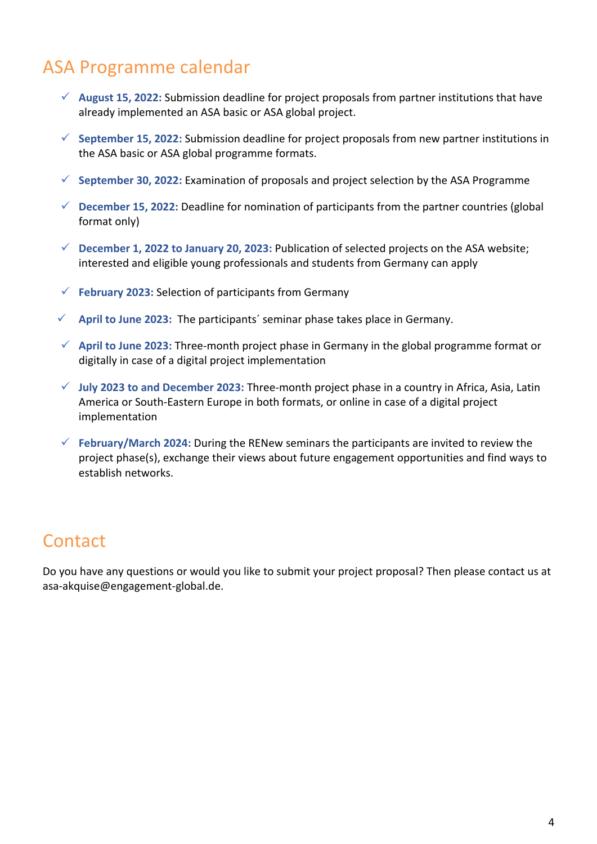## ASA Programme calendar

- **August 15, 2022:** Submission deadline for project proposals from partner institutions that have already implemented an ASA basic or ASA global project.
- **September 15, 2022:** Submission deadline for project proposals from new partner institutions in the ASA basic or ASA global programme formats.
- $\checkmark$  September 30, 2022: Examination of proposals and project selection by the ASA Programme
- **December 15, 2022:** Deadline for nomination of participants from the partner countries (global format only)
- **December 1, 2022 to January 20, 2023:** Publication of selected projects on the ASA website; interested and eligible young professionals and students from Germany can apply
- $\checkmark$  February 2023: Selection of participants from Germany
- **April to June 2023:** The participants´ seminar phase takes place in Germany.
- **April to June 2023:** Three-month project phase in Germany in the global programme format or digitally in case of a digital project implementation
- **July 2023 to and December 2023:** Three-month project phase in a country in Africa, Asia, Latin America or South-Eastern Europe in both formats, or online in case of a digital project implementation
- **February/March 2024:** During the RENew seminars the participants are invited to review the project phase(s), exchange their views about future engagement opportunities and find ways to establish networks.

### **Contact**

Do you have any questions or would you like to submit your project proposal? Then please contact us at asa-akquise@engagement-global.de.